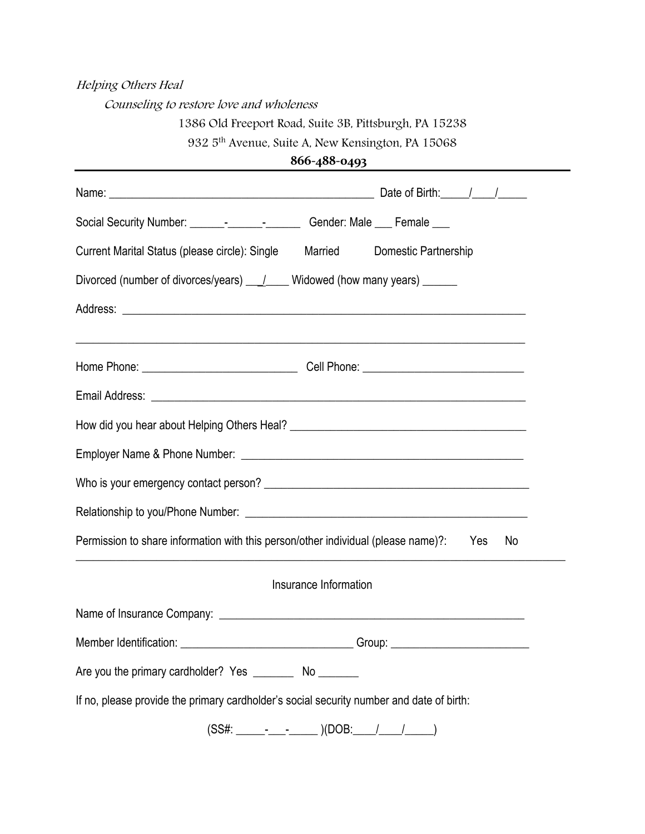## Helping Others Heal

Counseling to restore love and wholeness

## 1386 Old Freeport Road, Suite 3B, Pittsburgh, PA 15238

932 5th Avenue, Suite A, New Kensington, PA 15068

| 866-488-0493 |
|--------------|
|--------------|

| Social Security Number: _______________________________Gender: Male ____ Female ____            |        |  |
|-------------------------------------------------------------------------------------------------|--------|--|
| Current Marital Status (please circle): Single Married Domestic Partnership                     |        |  |
| Divorced (number of divorces/years) ____/_____ Widowed (how many years) _______                 |        |  |
|                                                                                                 |        |  |
|                                                                                                 |        |  |
|                                                                                                 |        |  |
|                                                                                                 |        |  |
|                                                                                                 |        |  |
|                                                                                                 |        |  |
|                                                                                                 |        |  |
|                                                                                                 |        |  |
| Permission to share information with this person/other individual (please name)?:<br>Yes<br>No. |        |  |
| Insurance Information                                                                           |        |  |
|                                                                                                 |        |  |
| Member Identification:                                                                          | Group: |  |
| Are you the primary cardholder? Yes ___________ No _________                                    |        |  |
| If no, please provide the primary cardholder's social security number and date of birth:        |        |  |
| (SS#: ______-____-___________)(DOB:_____                                                        |        |  |